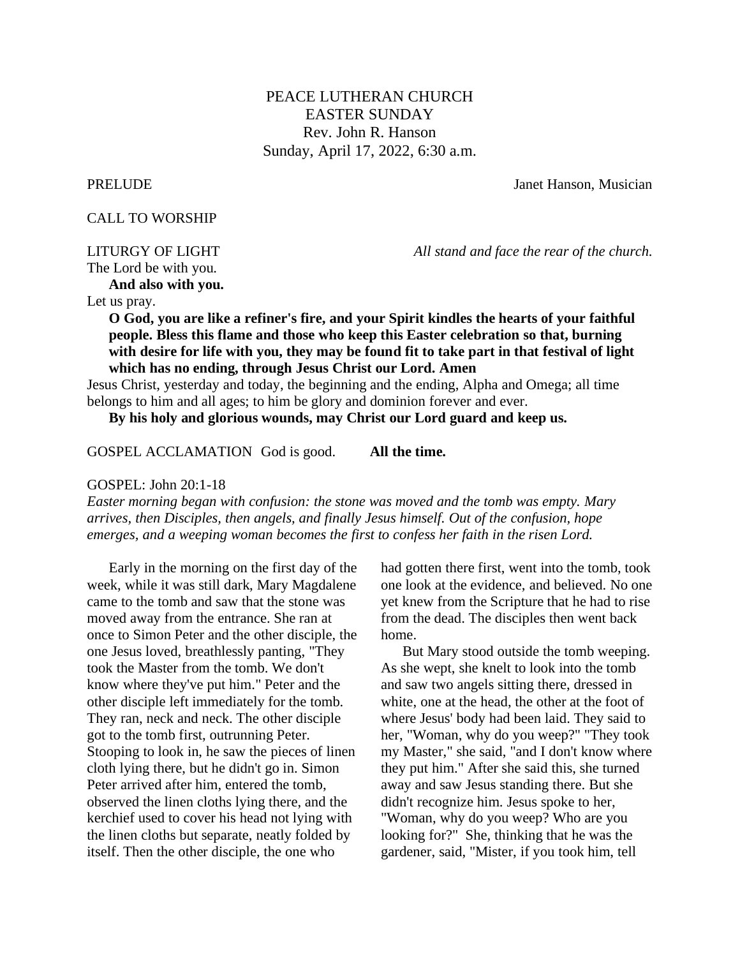## PEACE LUTHERAN CHURCH EASTER SUNDAY Rev. John R. Hanson Sunday, April 17, 2022, 6:30 a.m.

CALL TO WORSHIP

The Lord be with you.

**And also with you.**

Let us pray.

**O God, you are like a refiner's fire, and your Spirit kindles the hearts of your faithful people. Bless this flame and those who keep this Easter celebration so that, burning with desire for life with you, they may be found fit to take part in that festival of light which has no ending, through Jesus Christ our Lord. Amen** 

Jesus Christ, yesterday and today, the beginning and the ending, Alpha and Omega; all time belongs to him and all ages; to him be glory and dominion forever and ever.

**By his holy and glorious wounds, may Christ our Lord guard and keep us.** 

GOSPEL ACCLAMATION God is good. **All the time.**

### GOSPEL: John 20:1-18

*Easter morning began with confusion: the stone was moved and the tomb was empty. Mary arrives, then Disciples, then angels, and finally Jesus himself. Out of the confusion, hope emerges, and a weeping woman becomes the first to confess her faith in the risen Lord.*

Early in the morning on the first day of the week, while it was still dark, Mary Magdalene came to the tomb and saw that the stone was moved away from the entrance. She ran at once to Simon Peter and the other disciple, the one Jesus loved, breathlessly panting, "They took the Master from the tomb. We don't know where they've put him." Peter and the other disciple left immediately for the tomb. They ran, neck and neck. The other disciple got to the tomb first, outrunning Peter. Stooping to look in, he saw the pieces of linen cloth lying there, but he didn't go in. Simon Peter arrived after him, entered the tomb, observed the linen cloths lying there, and the kerchief used to cover his head not lying with the linen cloths but separate, neatly folded by itself. Then the other disciple, the one who

had gotten there first, went into the tomb, took one look at the evidence, and believed. No one yet knew from the Scripture that he had to rise from the dead. The disciples then went back home.

But Mary stood outside the tomb weeping. As she wept, she knelt to look into the tomb and saw two angels sitting there, dressed in white, one at the head, the other at the foot of where Jesus' body had been laid. They said to her, "Woman, why do you weep?" "They took my Master," she said, "and I don't know where they put him." After she said this, she turned away and saw Jesus standing there. But she didn't recognize him. Jesus spoke to her, "Woman, why do you weep? Who are you looking for?" She, thinking that he was the gardener, said, "Mister, if you took him, tell

PRELUDE **International Contract Contract Contract Contract Contract Contract Contract Contract Contract Contract Contract Contract Contract Contract Contract Contract Contract Contract Contract Contract Contract Contract C** 

LITURGY OF LIGHT *All stand and face the rear of the church.*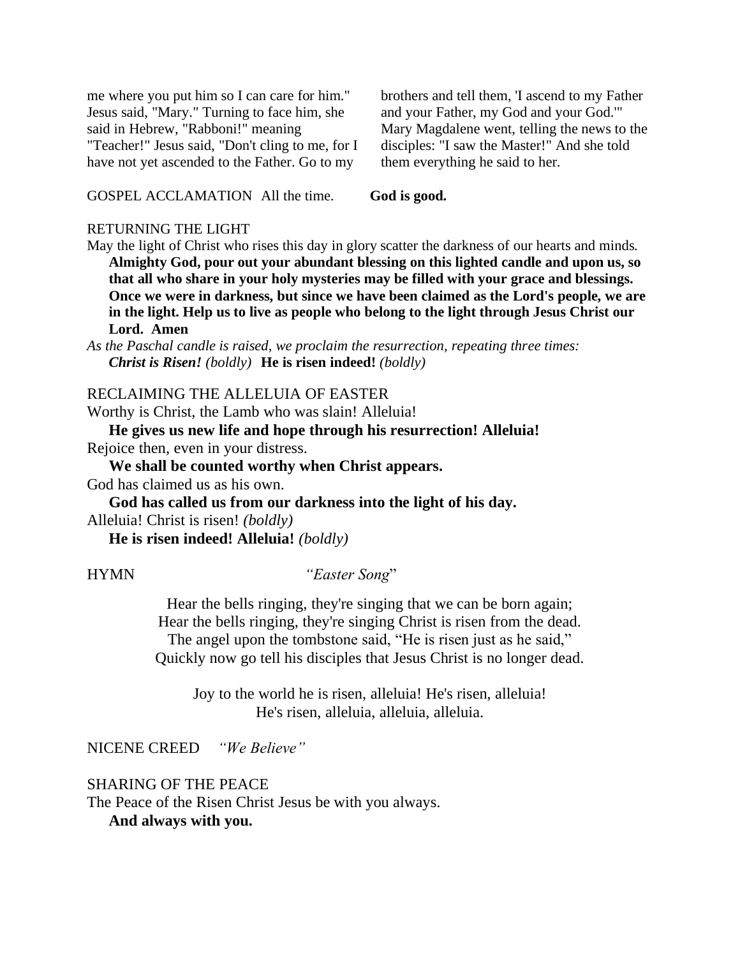me where you put him so I can care for him." Jesus said, "Mary." Turning to face him, she said in Hebrew, "Rabboni!" meaning "Teacher!" Jesus said, "Don't cling to me, for I have not yet ascended to the Father. Go to my

brothers and tell them, 'I ascend to my Father and your Father, my God and your God.'" Mary Magdalene went, telling the news to the disciples: "I saw the Master!" And she told them everything he said to her.

GOSPEL ACCLAMATION All the time. **God is good.**

### RETURNING THE LIGHT

May the light of Christ who rises this day in glory scatter the darkness of our hearts and minds. **Almighty God, pour out your abundant blessing on this lighted candle and upon us, so that all who share in your holy mysteries may be filled with your grace and blessings. Once we were in darkness, but since we have been claimed as the Lord's people, we are in the light. Help us to live as people who belong to the light through Jesus Christ our Lord. Amen** 

*As the Paschal candle is raised, we proclaim the resurrection, repeating three times: Christ is Risen! (boldly)* **He is risen indeed!** *(boldly)*

### RECLAIMING THE ALLELUIA OF EASTER

Worthy is Christ, the Lamb who was slain! Alleluia!

**He gives us new life and hope through his resurrection! Alleluia!**  Rejoice then, even in your distress.

**We shall be counted worthy when Christ appears.** God has claimed us as his own.

**God has called us from our darkness into the light of his day.** Alleluia! Christ is risen! *(boldly)*

**He is risen indeed! Alleluia!** *(boldly)*

# HYMN *"Easter Song*"

Hear the bells ringing, they're singing that we can be born again; Hear the bells ringing, they're singing Christ is risen from the dead. The angel upon the tombstone said, "He is risen just as he said," Quickly now go tell his disciples that Jesus Christ is no longer dead.

Joy to the world he is risen, alleluia! He's risen, alleluia! He's risen, alleluia, alleluia, alleluia.

NICENE CREED *"We Believe"*

### SHARING OF THE PEACE

The Peace of the Risen Christ Jesus be with you always.

# **And always with you.**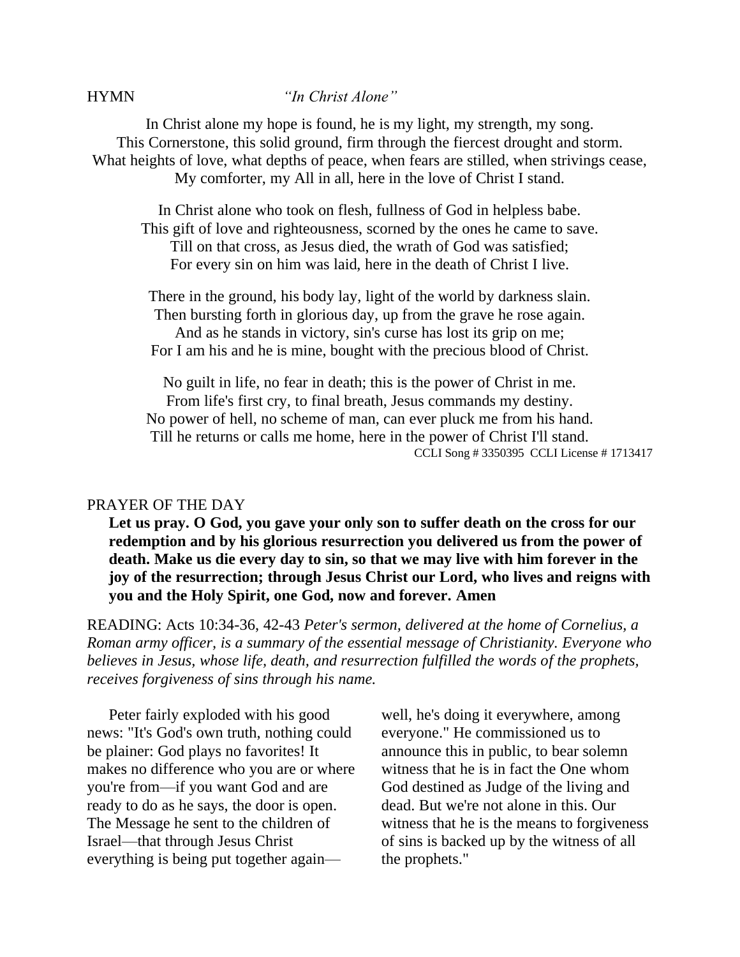HYMN *"In Christ Alone"*

In Christ alone my hope is found, he is my light, my strength, my song. This Cornerstone, this solid ground, firm through the fiercest drought and storm. What heights of love, what depths of peace, when fears are stilled, when strivings cease, My comforter, my All in all, here in the love of Christ I stand.

In Christ alone who took on flesh, fullness of God in helpless babe. This gift of love and righteousness, scorned by the ones he came to save. Till on that cross, as Jesus died, the wrath of God was satisfied; For every sin on him was laid, here in the death of Christ I live.

There in the ground, his body lay, light of the world by darkness slain. Then bursting forth in glorious day, up from the grave he rose again. And as he stands in victory, sin's curse has lost its grip on me; For I am his and he is mine, bought with the precious blood of Christ.

No guilt in life, no fear in death; this is the power of Christ in me. From life's first cry, to final breath, Jesus commands my destiny. No power of hell, no scheme of man, can ever pluck me from his hand. Till he returns or calls me home, here in the power of Christ I'll stand. CCLI Song # 3350395 CCLI License # 1713417

## PRAYER OF THE DAY

**Let us pray. O God, you gave your only son to suffer death on the cross for our redemption and by his glorious resurrection you delivered us from the power of death. Make us die every day to sin, so that we may live with him forever in the joy of the resurrection; through Jesus Christ our Lord, who lives and reigns with you and the Holy Spirit, one God, now and forever. Amen**

READING: Acts 10:34-36, 42-43 *Peter's sermon, delivered at the home of Cornelius, a Roman army officer, is a summary of the essential message of Christianity. Everyone who believes in Jesus, whose life, death, and resurrection fulfilled the words of the prophets, receives forgiveness of sins through his name.*

Peter fairly exploded with his good news: "It's God's own truth, nothing could be plainer: God plays no favorites! It makes no difference who you are or where you're from—if you want God and are ready to do as he says, the door is open. The Message he sent to the children of Israel—that through Jesus Christ everything is being put together again—

well, he's doing it everywhere, among everyone." He commissioned us to announce this in public, to bear solemn witness that he is in fact the One whom God destined as Judge of the living and dead. But we're not alone in this. Our witness that he is the means to forgiveness of sins is backed up by the witness of all the prophets."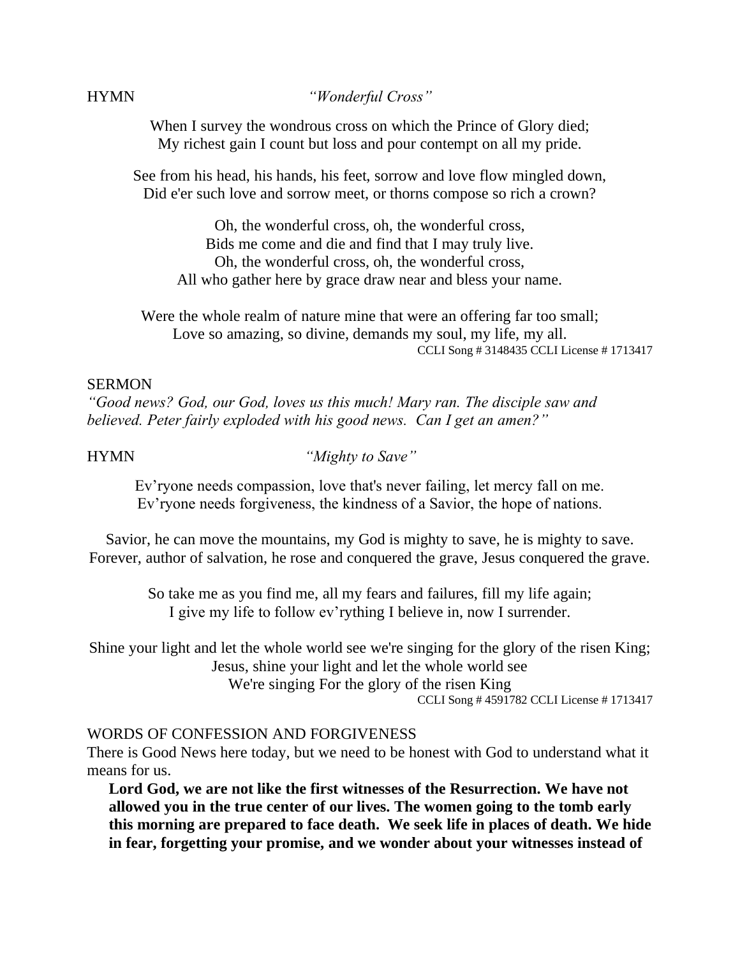HYMN *"Wonderful Cross"*

When I survey the wondrous cross on which the Prince of Glory died; My richest gain I count but loss and pour contempt on all my pride.

See from his head, his hands, his feet, sorrow and love flow mingled down, Did e'er such love and sorrow meet, or thorns compose so rich a crown?

Oh, the wonderful cross, oh, the wonderful cross, Bids me come and die and find that I may truly live. Oh, the wonderful cross, oh, the wonderful cross, All who gather here by grace draw near and bless your name.

Were the whole realm of nature mine that were an offering far too small; Love so amazing, so divine, demands my soul, my life, my all. CCLI Song # 3148435 CCLI License # 1713417

## **SERMON**

*"Good news? God, our God, loves us this much! Mary ran. The disciple saw and believed. Peter fairly exploded with his good news. Can I get an amen?"*

HYMN *"Mighty to Save"*

Ev'ryone needs compassion, love that's never failing, let mercy fall on me. Ev'ryone needs forgiveness, the kindness of a Savior, the hope of nations.

Savior, he can move the mountains, my God is mighty to save, he is mighty to save. Forever, author of salvation, he rose and conquered the grave, Jesus conquered the grave.

> So take me as you find me, all my fears and failures, fill my life again; I give my life to follow ev'rything I believe in, now I surrender.

Shine your light and let the whole world see we're singing for the glory of the risen King; Jesus, shine your light and let the whole world see We're singing For the glory of the risen King

CCLI Song # 4591782 CCLI License # 1713417

### WORDS OF CONFESSION AND FORGIVENESS

There is Good News here today, but we need to be honest with God to understand what it means for us.

**Lord God, we are not like the first witnesses of the Resurrection. We have not allowed you in the true center of our lives. The women going to the tomb early this morning are prepared to face death. We seek life in places of death. We hide in fear, forgetting your promise, and we wonder about your witnesses instead of**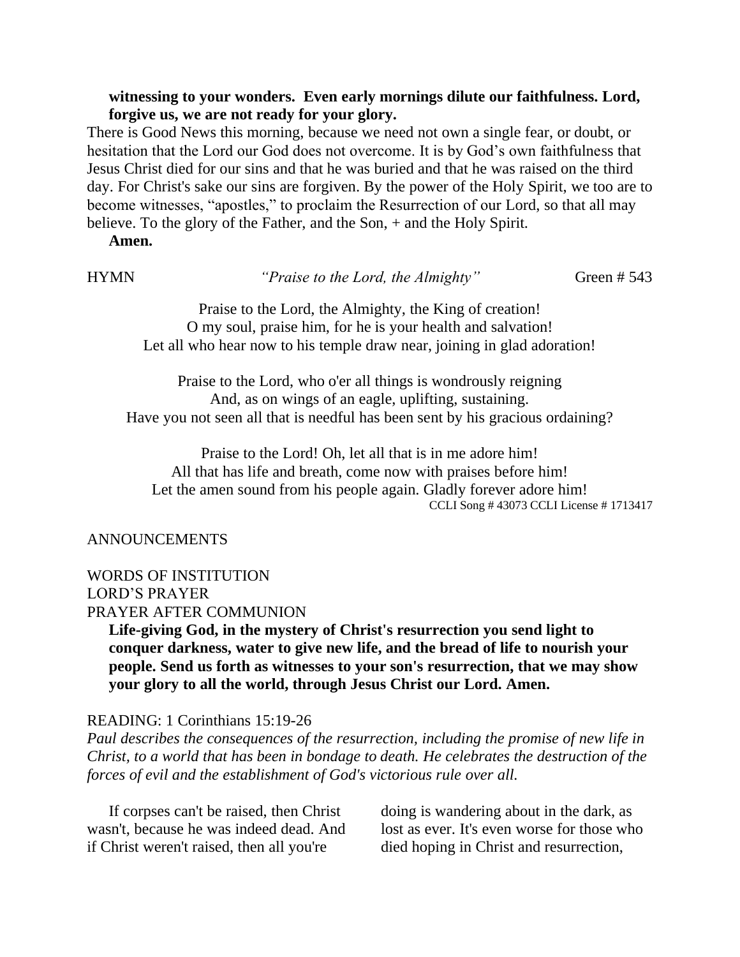## **witnessing to your wonders. Even early mornings dilute our faithfulness. Lord, forgive us, we are not ready for your glory.**

There is Good News this morning, because we need not own a single fear, or doubt, or hesitation that the Lord our God does not overcome. It is by God's own faithfulness that Jesus Christ died for our sins and that he was buried and that he was raised on the third day. For Christ's sake our sins are forgiven. By the power of the Holy Spirit, we too are to become witnesses, "apostles," to proclaim the Resurrection of our Lord, so that all may believe. To the glory of the Father, and the Son, + and the Holy Spirit.

# **Amen.**

| <b>HYMN</b> | "Praise to the Lord, the Almighty"                                       | Green # $543$ |
|-------------|--------------------------------------------------------------------------|---------------|
|             | Praise to the Lord, the Almighty, the King of creation!                  |               |
|             | O my soul, praise him, for he is your health and salvation!              |               |
|             | Let all who hear now to his temple draw near, joining in glad adoration! |               |

Praise to the Lord, who o'er all things is wondrously reigning And, as on wings of an eagle, uplifting, sustaining. Have you not seen all that is needful has been sent by his gracious ordaining?

Praise to the Lord! Oh, let all that is in me adore him! All that has life and breath, come now with praises before him! Let the amen sound from his people again. Gladly forever adore him! CCLI Song # 43073 CCLI License # 1713417

### ANNOUNCEMENTS

## WORDS OF INSTITUTION LORD'S PRAYER PRAYER AFTER COMMUNION

**Life-giving God, in the mystery of Christ's resurrection you send light to conquer darkness, water to give new life, and the bread of life to nourish your people. Send us forth as witnesses to your son's resurrection, that we may show your glory to all the world, through Jesus Christ our Lord. Amen.**

## READING: 1 Corinthians 15:19-26

*Paul describes the consequences of the resurrection, including the promise of new life in Christ, to a world that has been in bondage to death. He celebrates the destruction of the forces of evil and the establishment of God's victorious rule over all.*

If corpses can't be raised, then Christ wasn't, because he was indeed dead. And if Christ weren't raised, then all you're

doing is wandering about in the dark, as lost as ever. It's even worse for those who died hoping in Christ and resurrection,